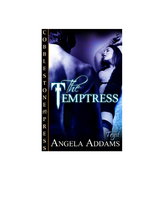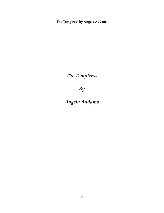*The Temptress*

*By*

*Angela Addams*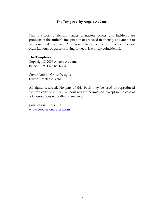This is a work of fiction. Names, characters, places, and incidents are products of the author's imagination or are used fictitiously and are not to be construed as real. Any resemblance to actual events, locales, organizations, or persons, living or dead, is entirely coincidental.

## **The Temptress**

Copyright© 2009 Angela Addams ISBN: 978‐1‐60088‐479‐5

Cover Artist: Croco Designs Editor: Melanie Noto

All rights reserved. No part of this book may be used or reproduced electronically or in print without written permission, except in the case of brief quotations embodied in reviews.

Cobblestone Press, LLC [www.cobblestone](http://www.cobblestone-press.com/)‐press.com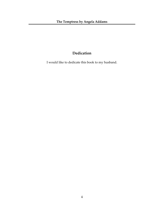## **Dedication**

I would like to dedicate this book to my husband.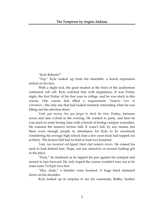"Kyle Roberts?"

"Yep." Kyle looked up from his timetable, a bored expression etched on his face.

With a slight nod, the grad student at the front of the auditorium continued roll call. Kyle watched him with impatience. It was Friday night, the first Friday of his first year in college, and he was stuck in this course. One course that filled a requirement: *Vampire Lore in Literature*—the only one that had looked remotely interesting when he was filling out his selection sheet.

*Yeah, you moron, but you forgot to check the time.* Friday, between seven and nine oʹclock in the evening. He wanted to party, and here he was stuck in some boring class with a bunch of boring vampire wannabes. He scanned the massive lecture hall. It wasn't full, by any means, but there were enough people in attendance for Kyle to be awestruck considering his average high school class a few years back had topped out at thirty. The lecture hall had to hold at least two hundred.

*Yeah, two hundred red‐lipped, black clad vampire lovers.* He craned his neck to look behind him. Nope, not one attractive or normal looking girl in the place.

"Fuck," he muttered as he tapped his pen against his notepad and turned to face forward. He only hoped the course wouldnʹt turn out to be some lame *Twilight* love‐fest.

"Hey, dude," a familiar voice boomed. A huge hand slammed down on his shoulder.

Kyle looked up in surprise to see his roommate, Bobby, hunker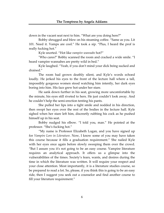down in the vacant seat next to him. "What are you doing here?"

Bobby shrugged and blew on his steaming coffee. "Same as you. Lit 101. Need it. Vamps are cool." He took a sip. "Plus, I heard the prof is really fucking hot."

Kyle snorted. "Hot like *vampire wannabe* hot?"

"Who cares?" Bobby scanned the room and cracked a wide smile. "I heard vampire wannabes are pretty wild in bed."

Kyle laughed. "Yeah, if you don't mind your dick being sucked and drained."

The room had grown deathly silent, and Kyle's words echoed loudly. He jerked his eyes to the front of the lecture hall where a tall, impossibly gorgeous women stood watching him intently, her dark eyes boring into him. His face grew hot under her stare.

He sank down further in his seat, growing more uncomfortable by the minute, his eyes still riveted to hers. He just couldn't look away. And he couldn't help the semi-erection tenting his pants.

She pulled her lips into a tight smile and nodded in his direction, then swept her eyes over the rest of the bodies in the lecture hall. Kyle sighed when her stare left him, discreetly rubbing his cock as he pushed himself up in his seat.

Bobby nudged his elbow. "I told you, man." He pointed at the professor. "Sheʹs fucking hot."

"My name is Professor Elizabeth Logan, and you have signed up for *Vampire Lore in Literature*. Now, I know some of you may have taken this course because it fills a graduation requirement." She nailed Kyle with her eyes once again before slowly sweeping them over the crowd. "But I assure you itʹs not going to be an easy course. Vampire literature requires an analytical approach. It offers us a glimpse into the vulnerabilities of the times. Society's fears, wants, and desires during the time in which the literature was written. It will require your respect and your close attention. Most importantly, it is a literature studies course, so be prepared to read a lot. So, please, if you think this is going to be an easy ride, then I suggest you seek out a counselor and find another course to fill your literature requirement."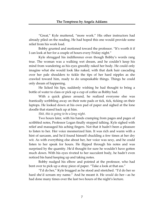"Great," Kyle muttered, "more work." His other instructors had already piled on the reading. He had hoped this one would provide some relief from his work load.

Bobby grunted and motioned toward the professor. "It's worth it if I can look at her for a couple of hours every Friday night."

Kyle shrugged his indifference even though Bobby's words rang true. The woman was a walking wet dream, and he couldn't keep his mind from wandering as his eyes greedily raked her body. He could only imagine what she would look like naked, with that dark hair cascading over her pale shoulders to tickle the tips of her hard nipples as she crawled toward him, ready to do unspeakable things. Things he could only dream of happening.

He licked his lips, suddenly wishing he had thought to bring a bottle of water to class or pick up a cup of coffee as Bobby had.

With a quick glance around, he realized everyone else was frantically scribbling away on their note pads or tick, tick, ticking on their laptops. He looked down at his own pad of paper and sighed at the lone doodle that stared back up at him.

*Shit, this is going to be a long night*.

Two hours later, with his hands cramping from pages and pages of scribbled notes, Professor Logan finally stopped talking. Kyle sighed with relief and massaged his aching fingers. Not that it hadn't been a pleasure to listen to her. Her voice mesmerized him. It was rich and warm with a hint of sarcasm, and heʹd found himself chuckling a few times at her dry wit. As with everything else about her, her voice was sexy, and he could listen to her speak for hours. He flipped through his notes and was surprised by the quantity. Heʹd thought for sure he wouldn't have gotten much down. With his eyes riveted to her succulent body, he hadn't even noticed his hand keeping up and taking notes.

Bobby nudged his elbow and pointed at the professor, who had bent over to pick up a stray piece of paper. "Take a look at that ass."

"I'd do her," Kyle bragged as he stood and stretched. "I'd do her so hard she'd scream my name." And he meant it. He *would* do her—as he had done many times over the last two hours of the night's lecture.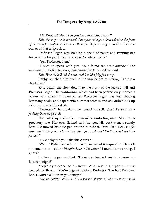"Mr. Roberts? May I see you for a moment, please?"

*Shit, this is got to be a record. First year college student called to the front of the room for profane and obscene thoughts.* Kyle slowly turned to face the owner of that crisp voice.

Professor Logan was holding a sheet of paper and running her finger along the print. "You are Kyle Roberts, correct?"

"Yes, Professor, I am."

"I need to speak with you. Your friend can wait outside." She motioned for Bobby to leave, then turned back toward her desk.

*Shit. How the hell did she hear me? I'm like fifty feet away.*

Bobby punched him hard in the arm before muttering, "You're a dead man."

Kyle began the slow decent to the front of the lecture hall and Professor Logan. The auditorium, which had been packed only moments before, now echoed in its emptiness. Professor Logan was busy shoving her many books and papers into a leather satchel, and she didn't look up as he approached her desk.

"Professor?" he croaked. He cursed himself. *Great, I sound like a fucking fourteen year‐old.*

She looked up and smiled. It wasn't a comforting smile. More like a predatory one. Her eyes flashed with hunger. His cock went instantly hard. He moved his note pad around to hide it. *Fuck, I'm a dead man for sure. What's the penalty for lusting after your professor? Do they expel students for that?*

"Kyle, why did you take this course?"

ʺWell...ʺ Kyle frowned, not having expected *that* question. He took a moment to consider. "*Vampire Lore in Literature?* I found it interesting, I guess."

Professor Logan nodded. "Have you learned anything from my lecture tonight?"

"Yep." Kyle deepened his frown. What was this, a pop quiz? He cleared his throat. "You're a great teacher, Professor. The best I've ever had. I learned a lot from you tonight."

*Bullshit, bullshit, bullshit. You learned that your mind can come up with*